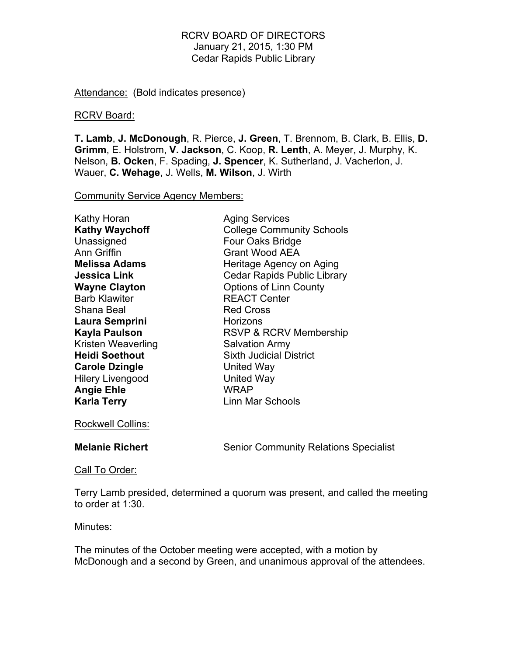Attendance: (Bold indicates presence)

#### RCRV Board:

**T. Lamb**, **J. McDonough**, R. Pierce, **J. Green**, T. Brennom, B. Clark, B. Ellis, **D. Grimm**, E. Holstrom, **V. Jackson**, C. Koop, **R. Lenth**, A. Meyer, J. Murphy, K. Nelson, **B. Ocken**, F. Spading, **J. Spencer**, K. Sutherland, J. Vacherlon, J. Wauer, **C. Wehage**, J. Wells, **M. Wilson**, J. Wirth

Community Service Agency Members:

| <b>Aging Services</b>              |
|------------------------------------|
| <b>College Community Schools</b>   |
| Four Oaks Bridge                   |
| <b>Grant Wood AEA</b>              |
| Heritage Agency on Aging           |
| <b>Cedar Rapids Public Library</b> |
| <b>Options of Linn County</b>      |
| <b>REACT Center</b>                |
| <b>Red Cross</b>                   |
| Horizons                           |
| RSVP & RCRV Membership             |
| <b>Salvation Army</b>              |
| <b>Sixth Judicial District</b>     |
| United Way                         |
| <b>United Way</b>                  |
| WRAP                               |
| Linn Mar Schools                   |
|                                    |

Rockwell Collins:

**Melanie Richert** Senior Community Relations Specialist

Call To Order:

Terry Lamb presided, determined a quorum was present, and called the meeting to order at 1:30.

## Minutes:

The minutes of the October meeting were accepted, with a motion by McDonough and a second by Green, and unanimous approval of the attendees.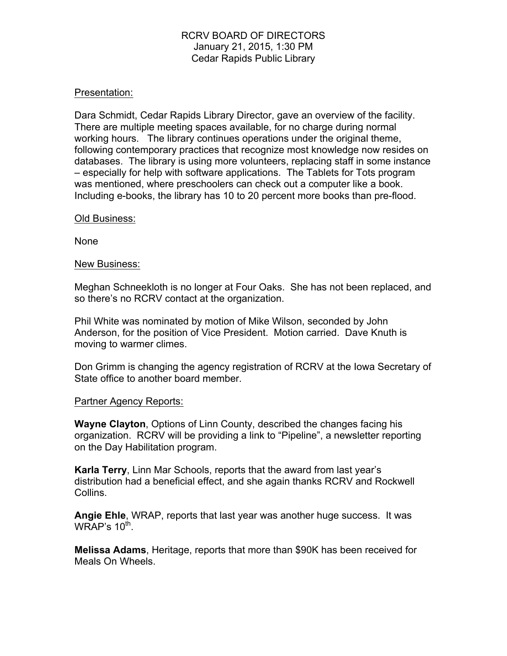## Presentation:

Dara Schmidt, Cedar Rapids Library Director, gave an overview of the facility. There are multiple meeting spaces available, for no charge during normal working hours. The library continues operations under the original theme, following contemporary practices that recognize most knowledge now resides on databases. The library is using more volunteers, replacing staff in some instance – especially for help with software applications. The Tablets for Tots program was mentioned, where preschoolers can check out a computer like a book. Including e-books, the library has 10 to 20 percent more books than pre-flood.

#### Old Business:

None

#### New Business:

Meghan Schneekloth is no longer at Four Oaks. She has not been replaced, and so there's no RCRV contact at the organization.

Phil White was nominated by motion of Mike Wilson, seconded by John Anderson, for the position of Vice President. Motion carried. Dave Knuth is moving to warmer climes.

Don Grimm is changing the agency registration of RCRV at the Iowa Secretary of State office to another board member.

## Partner Agency Reports:

**Wayne Clayton**, Options of Linn County, described the changes facing his organization. RCRV will be providing a link to "Pipeline", a newsletter reporting on the Day Habilitation program.

**Karla Terry**, Linn Mar Schools, reports that the award from last year's distribution had a beneficial effect, and she again thanks RCRV and Rockwell Collins.

**Angie Ehle**, WRAP, reports that last year was another huge success. It was WRAP's  $10^{th}$ .

**Melissa Adams**, Heritage, reports that more than \$90K has been received for Meals On Wheels.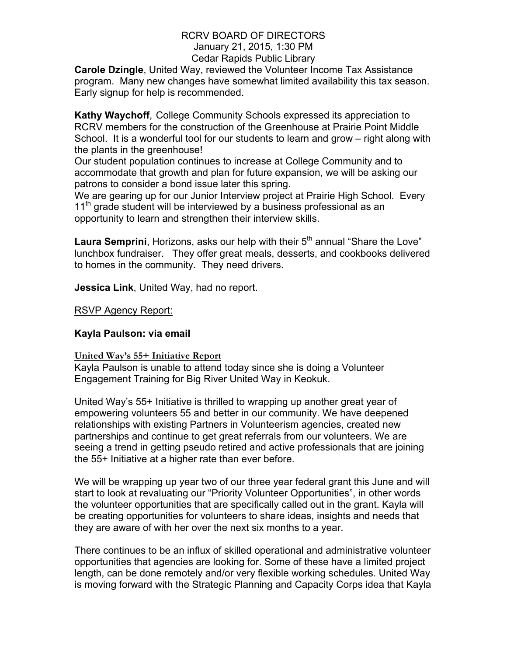**Carole Dzingle**, United Way, reviewed the Volunteer Income Tax Assistance program. Many new changes have somewhat limited availability this tax season. Early signup for help is recommended.

**Kathy Waychoff**, College Community Schools expressed its appreciation to RCRV members for the construction of the Greenhouse at Prairie Point Middle School. It is a wonderful tool for our students to learn and grow – right along with the plants in the greenhouse!

Our student population continues to increase at College Community and to accommodate that growth and plan for future expansion, we will be asking our patrons to consider a bond issue later this spring.

We are gearing up for our Junior Interview project at Prairie High School. Every  $11<sup>th</sup>$  grade student will be interviewed by a business professional as an opportunity to learn and strengthen their interview skills.

**Laura Semprini**, Horizons, asks our help with their 5<sup>th</sup> annual "Share the Love" lunchbox fundraiser. They offer great meals, desserts, and cookbooks delivered to homes in the community. They need drivers.

**Jessica Link**, United Way, had no report.

RSVP Agency Report:

# **Kayla Paulson: via email**

# **United Way's 55+ Initiative Report**

Kayla Paulson is unable to attend today since she is doing a Volunteer Engagement Training for Big River United Way in Keokuk.

United Way's 55+ Initiative is thrilled to wrapping up another great year of empowering volunteers 55 and better in our community. We have deepened relationships with existing Partners in Volunteerism agencies, created new partnerships and continue to get great referrals from our volunteers. We are seeing a trend in getting pseudo retired and active professionals that are joining the 55+ Initiative at a higher rate than ever before.

We will be wrapping up year two of our three year federal grant this June and will start to look at revaluating our "Priority Volunteer Opportunities", in other words the volunteer opportunities that are specifically called out in the grant. Kayla will be creating opportunities for volunteers to share ideas, insights and needs that they are aware of with her over the next six months to a year.

There continues to be an influx of skilled operational and administrative volunteer opportunities that agencies are looking for. Some of these have a limited project length, can be done remotely and/or very flexible working schedules. United Way is moving forward with the Strategic Planning and Capacity Corps idea that Kayla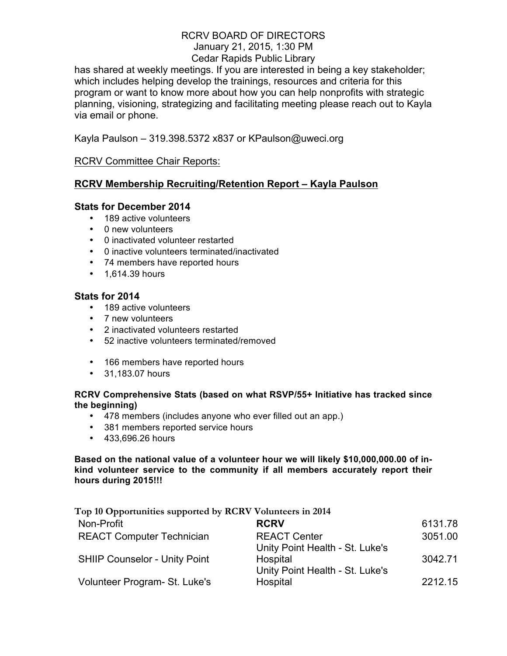has shared at weekly meetings. If you are interested in being a key stakeholder; which includes helping develop the trainings, resources and criteria for this program or want to know more about how you can help nonprofits with strategic planning, visioning, strategizing and facilitating meeting please reach out to Kayla via email or phone.

Kayla Paulson – 319.398.5372 x837 or KPaulson@uweci.org

# RCRV Committee Chair Reports:

# **RCRV Membership Recruiting/Retention Report – Kayla Paulson**

## **Stats for December 2014**

- 189 active volunteers
- 0 new volunteers
- 0 inactivated volunteer restarted
- 0 inactive volunteers terminated/inactivated
- 74 members have reported hours
- 1,614.39 hours

## **Stats for 2014**

- 189 active volunteers
- 7 new volunteers
- 2 inactivated volunteers restarted
- 52 inactive volunteers terminated/removed
- 166 members have reported hours
- 31,183.07 hours

## **RCRV Comprehensive Stats (based on what RSVP/55+ Initiative has tracked since the beginning)**

- 478 members (includes anyone who ever filled out an app.)
- 381 members reported service hours
- 433,696.26 hours

**Based on the national value of a volunteer hour we will likely \$10,000,000.00 of inkind volunteer service to the community if all members accurately report their hours during 2015!!!**

| Top 10 Opportunities supported by RCRV Volunteers in 2014 |                                                        |         |
|-----------------------------------------------------------|--------------------------------------------------------|---------|
| Non-Profit                                                | <b>RCRV</b>                                            | 6131.78 |
| <b>REACT Computer Technician</b>                          | <b>REACT Center</b><br>Unity Point Health - St. Luke's | 3051.00 |
| <b>SHIIP Counselor - Unity Point</b>                      | Hospital<br>Unity Point Health - St. Luke's            | 3042.71 |
| Volunteer Program- St. Luke's                             | Hospital                                               | 2212.15 |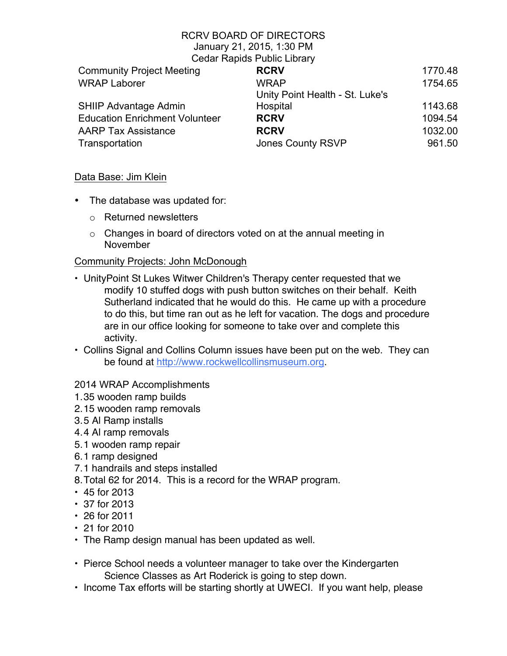## RCRV BOARD OF DIRECTORS January 21, 2015, 1:30 PM

Cedar Rapids Public Library

|                                       | <b>Product I rapido I dollo Libidi y</b> |         |
|---------------------------------------|------------------------------------------|---------|
| <b>Community Project Meeting</b>      | <b>RCRV</b>                              | 1770.48 |
| <b>WRAP Laborer</b>                   | <b>WRAP</b>                              | 1754.65 |
|                                       | Unity Point Health - St. Luke's          |         |
| <b>SHIIP Advantage Admin</b>          | Hospital                                 | 1143.68 |
| <b>Education Enrichment Volunteer</b> | <b>RCRV</b>                              | 1094.54 |
| <b>AARP Tax Assistance</b>            | <b>RCRV</b>                              | 1032.00 |
| Transportation                        | <b>Jones County RSVP</b>                 | 961.50  |
|                                       |                                          |         |

# Data Base: Jim Klein

- The database was updated for:
	- o Returned newsletters
	- $\circ$  Changes in board of directors voted on at the annual meeting in November

# Community Projects: John McDonough

- UnityPoint St Lukes Witwer Children's Therapy center requested that we modify 10 stuffed dogs with push button switches on their behalf. Keith Sutherland indicated that he would do this. He came up with a procedure to do this, but time ran out as he left for vacation. The dogs and procedure are in our office looking for someone to take over and complete this activity.
- Collins Signal and Collins Column issues have been put on the web. They can be found at http://www.rockwellcollinsmuseum.org.

# 2014 WRAP Accomplishments

- 1.35 wooden ramp builds
- 2.15 wooden ramp removals
- 3.5 Al Ramp installs
- 4.4 Al ramp removals
- 5.1 wooden ramp repair
- 6.1 ramp designed
- 7.1 handrails and steps installed
- 8.Total 62 for 2014. This is a record for the WRAP program.
- 45 for 2013
- 37 for 2013
- 26 for 2011
- 21 for 2010
- The Ramp design manual has been updated as well.
- Pierce School needs a volunteer manager to take over the Kindergarten Science Classes as Art Roderick is going to step down.
- Income Tax efforts will be starting shortly at UWECI. If you want help, please